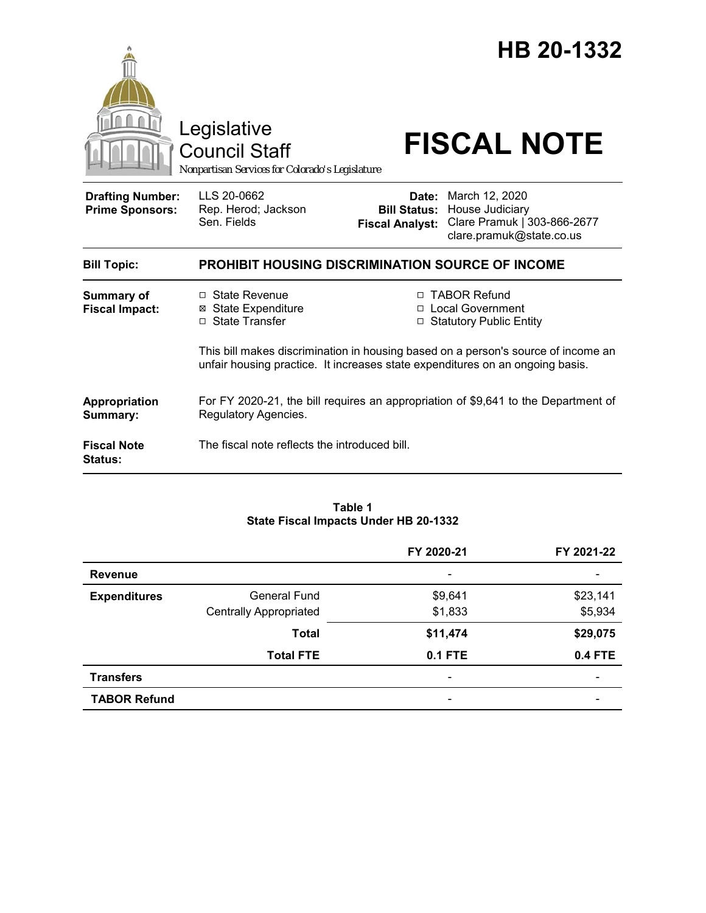|                                                   | Legislative<br><b>Council Staff</b><br>Nonpartisan Services for Colorado's Legislature                                                                             |                                                        | HB 20-1332<br><b>FISCAL NOTE</b>                                                             |  |
|---------------------------------------------------|--------------------------------------------------------------------------------------------------------------------------------------------------------------------|--------------------------------------------------------|----------------------------------------------------------------------------------------------|--|
| <b>Drafting Number:</b><br><b>Prime Sponsors:</b> | LLS 20-0662<br>Rep. Herod; Jackson<br>Sen. Fields                                                                                                                  | Date:<br><b>Bill Status:</b><br><b>Fiscal Analyst:</b> | March 12, 2020<br>House Judiciary<br>Clare Pramuk   303-866-2677<br>clare.pramuk@state.co.us |  |
| <b>Bill Topic:</b>                                | PROHIBIT HOUSING DISCRIMINATION SOURCE OF INCOME                                                                                                                   |                                                        |                                                                                              |  |
| <b>Summary of</b><br><b>Fiscal Impact:</b>        | □ State Revenue<br><b>⊠ State Expenditure</b><br>□ State Transfer                                                                                                  | П.                                                     | <b>TABOR Refund</b><br>□ Local Government<br>□ Statutory Public Entity                       |  |
|                                                   | This bill makes discrimination in housing based on a person's source of income an<br>unfair housing practice. It increases state expenditures on an ongoing basis. |                                                        |                                                                                              |  |
| Appropriation<br>Summary:                         | For FY 2020-21, the bill requires an appropriation of \$9,641 to the Department of<br>Regulatory Agencies.                                                         |                                                        |                                                                                              |  |
| <b>Fiscal Note</b><br><b>Status:</b>              | The fiscal note reflects the introduced bill.                                                                                                                      |                                                        |                                                                                              |  |

#### **Table 1 State Fiscal Impacts Under HB 20-1332**

|                     |                               | FY 2020-21                   | FY 2021-22     |
|---------------------|-------------------------------|------------------------------|----------------|
| <b>Revenue</b>      |                               | $\qquad \qquad \blacksquare$ |                |
| <b>Expenditures</b> | General Fund                  | \$9,641                      | \$23,141       |
|                     | <b>Centrally Appropriated</b> | \$1,833                      | \$5,934        |
|                     | <b>Total</b>                  | \$11,474                     | \$29,075       |
|                     | <b>Total FTE</b>              | $0.1$ FTE                    | <b>0.4 FTE</b> |
| <b>Transfers</b>    |                               | $\overline{\phantom{0}}$     |                |
| <b>TABOR Refund</b> |                               | $\qquad \qquad \blacksquare$ |                |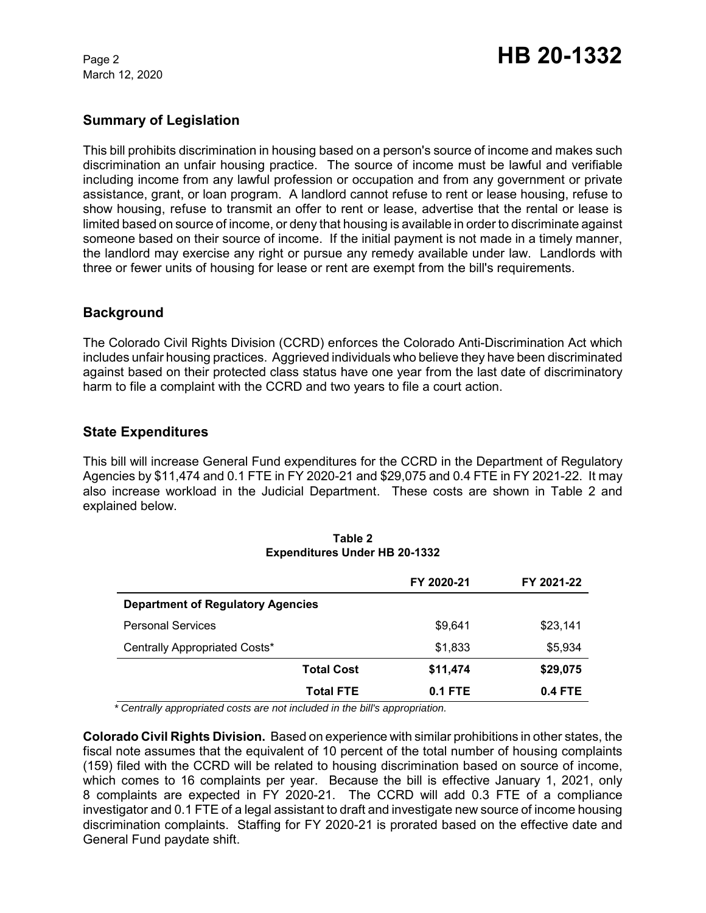March 12, 2020

# **Summary of Legislation**

This bill prohibits discrimination in housing based on a person's source of income and makes such discrimination an unfair housing practice. The source of income must be lawful and verifiable including income from any lawful profession or occupation and from any government or private assistance, grant, or loan program. A landlord cannot refuse to rent or lease housing, refuse to show housing, refuse to transmit an offer to rent or lease, advertise that the rental or lease is limited based on source of income, or deny that housing is available in order to discriminate against someone based on their source of income. If the initial payment is not made in a timely manner, the landlord may exercise any right or pursue any remedy available under law. Landlords with three or fewer units of housing for lease or rent are exempt from the bill's requirements.

## **Background**

The Colorado Civil Rights Division (CCRD) enforces the Colorado Anti-Discrimination Act which includes unfair housing practices. Aggrieved individuals who believe they have been discriminated against based on their protected class status have one year from the last date of discriminatory harm to file a complaint with the CCRD and two years to file a court action.

## **State Expenditures**

This bill will increase General Fund expenditures for the CCRD in the Department of Regulatory Agencies by \$11,474 and 0.1 FTE in FY 2020-21 and \$29,075 and 0.4 FTE in FY 2021-22. It may also increase workload in the Judicial Department. These costs are shown in Table 2 and explained below.

|                                          |                   | FY 2020-21 | FY 2021-22 |
|------------------------------------------|-------------------|------------|------------|
| <b>Department of Regulatory Agencies</b> |                   |            |            |
| <b>Personal Services</b>                 |                   | \$9,641    | \$23,141   |
| Centrally Appropriated Costs*            |                   | \$1,833    | \$5,934    |
|                                          | <b>Total Cost</b> | \$11,474   | \$29,075   |
|                                          | <b>Total FTE</b>  | 0.1 FTE    | $0.4$ FTE  |

| Table 2                              |
|--------------------------------------|
| <b>Expenditures Under HB 20-1332</b> |

 *\* Centrally appropriated costs are not included in the bill's appropriation.*

**Colorado Civil Rights Division.** Based on experience with similar prohibitions in other states, the fiscal note assumes that the equivalent of 10 percent of the total number of housing complaints (159) filed with the CCRD will be related to housing discrimination based on source of income, which comes to 16 complaints per year. Because the bill is effective January 1, 2021, only 8 complaints are expected in FY 2020-21. The CCRD will add 0.3 FTE of a compliance investigator and 0.1 FTE of a legal assistant to draft and investigate new source of income housing discrimination complaints. Staffing for FY 2020-21 is prorated based on the effective date and General Fund paydate shift.